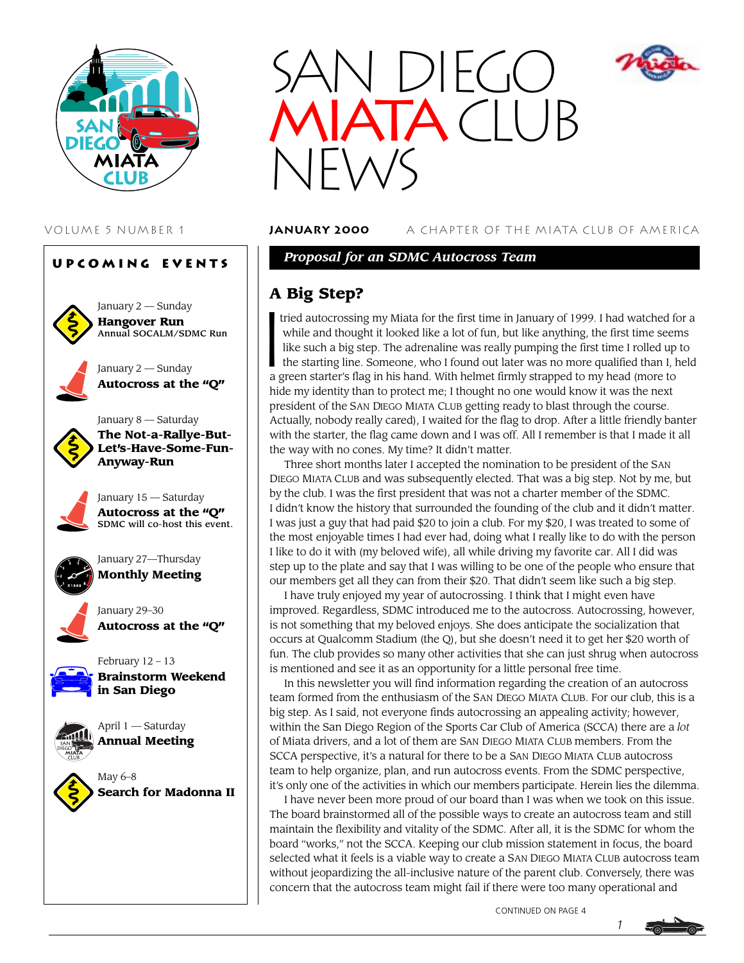





VOLUME 5 NUMBER 1 **January 2000** A CHAPTER OF THE MIATA CLUB OF AMERICA

*Proposal for an SDMC Autocross Team*

#### **A Big Step?**

 $\left\{\begin{array}{c} \mathbf{A} \\ \text{tr} \\ \text{V} \\ \text{N} \\ \text{N} \\ \text{t} \end{array}\right.$  tried autocrossing my Miata for the first time in January of 1999. I had watched for a while and thought it looked like a lot of fun, but like anything, the first time seems like such a big step. The adrenaline was really pumping the first time I rolled up to the starting line. Someone, who I found out later was no more qualified than I, held a green starter's flag in his hand. With helmet firmly strapped to my head (more to hide my identity than to protect me; I thought no one would know it was the next president of the SAN DIEGO MIATA CLUB getting ready to blast through the course. Actually, nobody really cared), I waited for the flag to drop. After a little friendly banter with the starter, the flag came down and I was off. All I remember is that I made it all the way with no cones. My time? It didn't matter.

Three short months later I accepted the nomination to be president of the SAN DIEGO MIATA CLUB and was subsequently elected. That was a big step. Not by me, but by the club. I was the first president that was not a charter member of the SDMC. I didn't know the history that surrounded the founding of the club and it didn't matter. I was just a guy that had paid \$20 to join a club. For my \$20, I was treated to some of the most enjoyable times I had ever had, doing what I really like to do with the person I like to do it with (my beloved wife), all while driving my favorite car. All I did was step up to the plate and say that I was willing to be one of the people who ensure that our members get all they can from their \$20. That didn't seem like such a big step.

I have truly enjoyed my year of autocrossing. I think that I might even have improved. Regardless, SDMC introduced me to the autocross. Autocrossing, however, is not something that my beloved enjoys. She does anticipate the socialization that occurs at Qualcomm Stadium (the Q), but she doesn't need it to get her \$20 worth of fun. The club provides so many other activities that she can just shrug when autocross is mentioned and see it as an opportunity for a little personal free time.

In this newsletter you will find information regarding the creation of an autocross team formed from the enthusiasm of the SAN DIEGO MIATA CLUB. For our club, this is a big step. As I said, not everyone finds autocrossing an appealing activity; however, within the San Diego Region of the Sports Car Club of America (SCCA) there are a *lot* of Miata drivers, and a lot of them are SAN DIEGO MIATA CLUB members. From the SCCA perspective, it's a natural for there to be a SAN DIEGO MIATA CLUB autocross team to help organize, plan, and run autocross events. From the SDMC perspective, it's only one of the activities in which our members participate. Herein lies the dilemma.

I have never been more proud of our board than I was when we took on this issue. The board brainstormed all of the possible ways to create an autocross team and still maintain the flexibility and vitality of the SDMC. After all, it is the SDMC for whom the board "works," not the SCCA. Keeping our club mission statement in focus, the board selected what it feels is a viable way to create a SAN DIEGO MIATA CLUB autocross team without jeopardizing the all-inclusive nature of the parent club. Conversely, there was concern that the autocross team might fail if there were too many operational and

CONTINUED ON PAGE 4



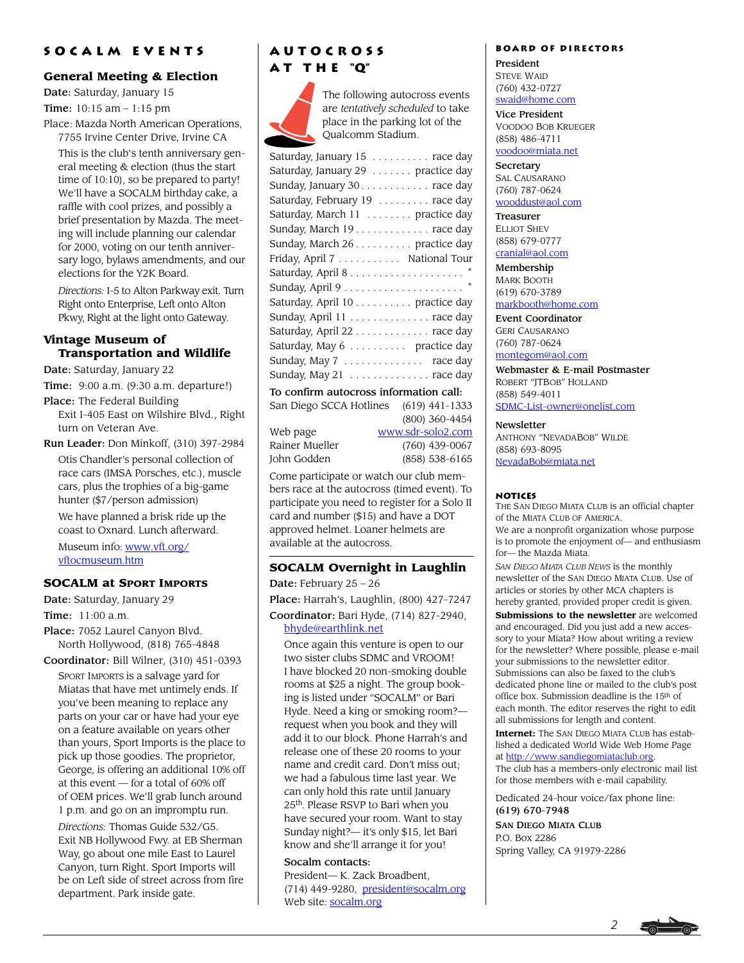#### **Socalm events**

#### **General Meeting & Election**

Date: Saturday, January 15

Time: 10:15 am – 1:15 pm

Place: Mazda North American Operations, 7755 Irvine Center Drive, Irvine CA

This is the club's tenth anniversary general meeting & election (thus the start time of 10:10), so be prepared to party! We'll have a SOCALM birthday cake, a raffle with cool prizes, and possibly a brief presentation by Mazda. The meeting will include planning our calendar for 2000, voting on our tenth anniversary logo, bylaws amendments, and our elections for the Y2K Board.

*Directions:* I-5 to Alton Parkway exit. Turn Right onto Enterprise, Left onto Alton Pkwy, Right at the light onto Gateway.

#### **Vintage Museum of Transportation and Wildlife**

Date: Saturday, January 22

Time: 9:00 a.m. (9:30 a.m. departure!)

Place: The Federal Building Exit I-405 East on Wilshire Blvd., Right turn on Veteran Ave.

Run Leader: Don Minkoff, (310) 397-2984 Otis Chandler's personal collection of race cars (IMSA Porsches, etc.), muscle cars, plus the trophies of a big-game hunter (\$7/person admission)

We have planned a brisk ride up the coast to Oxnard. Lunch afterward.

Museum info: [www.vft.org/](http://www.vft.org/vftocmuseum.htm) [vftocmuseum.htm](http://www.vft.org/vftocmuseum.htm)

#### **SOCALM at SPORT IMPORTS**

Date: Saturday, January 29

Time: 11:00 a.m.

Place: 7052 Laurel Canyon Blvd. North Hollywood, (818) 765-4848

Coordinator: Bill Wilner, (310) 451-0393 SPORT IMPORTS is a salvage yard for Miatas that have met untimely ends. If you've been meaning to replace any parts on your car or have had your eye on a feature available on years other than yours, Sport Imports is the place to pick up those goodies. The proprietor, George, is offering an additional 10% off at this event — for a total of 60% off of OEM prices. We'll grab lunch around 1 p.m. and go on an impromptu run.

*Directions:* Thomas Guide 532/G5. Exit NB Hollywood Fwy. at EB Sherman Way, go about one mile East to Laurel Canyon, turn Right. Sport Imports will be on Left side of street across from fire department. Park inside gate.

#### **Autocross a t t h e "Q"**



The following autocross events are *tentatively scheduled* to take place in the parking lot of the Qualcomm Stadium.

| Saturday, January 15 race day          |
|----------------------------------------|
| Saturday, January 29 practice day      |
| Sunday, January 30. race day           |
| Saturday, February 19 race day         |
| Saturday, March 11  practice day       |
| Sunday, March 19. race day             |
| Sunday, March 26 practice day          |
| Friday, April 7 National Tour          |
|                                        |
|                                        |
| Saturday, April 10 practice day        |
| Sunday, April 11 race day              |
| Saturday, April 22 race day            |
| Saturday, May 6 practice day           |
| Sunday, May 7  race day                |
| Sunday, May 21  race day               |
| To confirm autocross information call- |

San Diego SCCA Hotlines (619) 441-1333

| Web page       |
|----------------|
| Rainer Mueller |
| John Godden    |

[www.sdr-solo2.com](http://www.sdr-solo2.com) (760) 439-0067 (858) 538-6165

(800) 360-4454

Come participate or watch our club members race at the autocross (timed event). To participate you need to register for a Solo II card and number (\$15) and have a DOT approved helmet. Loaner helmets are available at the autocross.

#### **SOCALM Overnight in Laughlin**

Date: February 25 – 26 Place: Harrah's, Laughlin, (800) 427-7247

Coordinator: Bari Hyde, (714) 827-2940, [bhyde@earthlink.net](mailto:bhyde@earthlink.net)

Once again this venture is open to our two sister clubs SDMC and VROOM! I have blocked 20 non-smoking double rooms at \$25 a night. The group booking is listed under "SOCALM" or Bari Hyde. Need a king or smoking room? request when you book and they will add it to our block. Phone Harrah's and release one of these 20 rooms to your name and credit card. Don't miss out; we had a fabulous time last year. We can only hold this rate until January 25th. Please RSVP to Bari when you have secured your room. Want to stay Sunday night?— it's only \$15, let Bari know and she'll arrange it for you!

#### Socalm contacts:

President— K. Zack Broadbent, (714) 449-9280, [president@socalm.org](mailto:president@socalm.org) Web site: [socalm.org](http://www.socalm.org)

#### **Board of Directors**

President STEVE WAID (760) 432-0727 [swaid@home.com](mailto:swaid@home.com)

#### Vice President

VOODOO BOB KRUEGER (858) 486-4711 [voodoo@miata.net](mailto:voodoo@miata.net)

**Secretary** SAL CAUSARANO (760) 787-0624

#### [wooddust@aol.com](mailto:wooddust@aol.com)

Treasurer ELLIOT SHEV (858) 679-0777 [cranial@aol.com](mailto:cranial@aol.com)

Membership MARK BOOTH (619) 670-3789

#### [markbooth@home.com](mailto:markbooth@home.com)

Event Coordinator GERI CAUSARANO (760) 787-0624 [montegom@aol.com](mailto:montegom@aol.com)

Webmaster & E-mail Postmaster ROBERT "JTBOB" HOLLAND (858) 549-4011 [SDMC-List-owner@onelist.com](mailto:SDMC-List-owner@onelist.com)

**Newsletter** 

ANTHONY "NEVADABOB" WILDE (858) 693-8095 [NevadaBob@miata.net](mailto:NevadaBob@miata.net)

#### **Notices**

THE SAN DIEGO MIATA CLUB is an official chapter of the MIATA CLUB OF AMERICA.

We are a nonprofit organization whose purpose is to promote the enjoyment of— and enthusiasm for— the Mazda Miata.

*SAN DIEGO MIATA CLUB NEWS* is the monthly newsletter of the SAN DIEGO MIATA CLUB. Use of articles or stories by other MCA chapters is hereby granted, provided proper credit is given.

**Submissions to the newsletter** are welcomed and encouraged. Did you just add a new accessory to your Miata? How about writing a review for the newsletter? Where possible, please e-mail your submissions to the newsletter editor. Submissions can also be faxed to the club's dedicated phone line or mailed to the club's post office box. Submission deadline is the 15th of each month. The editor reserves the right to edit all submissions for length and content.

**Internet:** The SAN DIEGO MIATA CLUB has established a dedicated World Wide Web Home Page at [http://www.sandiegomiataclub.org.](http://www.sandiegomiataclub.org) The club has a members-only electronic mail list for those members with e-mail capability.

Dedicated 24-hour voice/fax phone line: (619) 670-7948

SAN DIEGO MIATA CLUB P.O. Box 2286 Spring Valley, CA 91979-2286

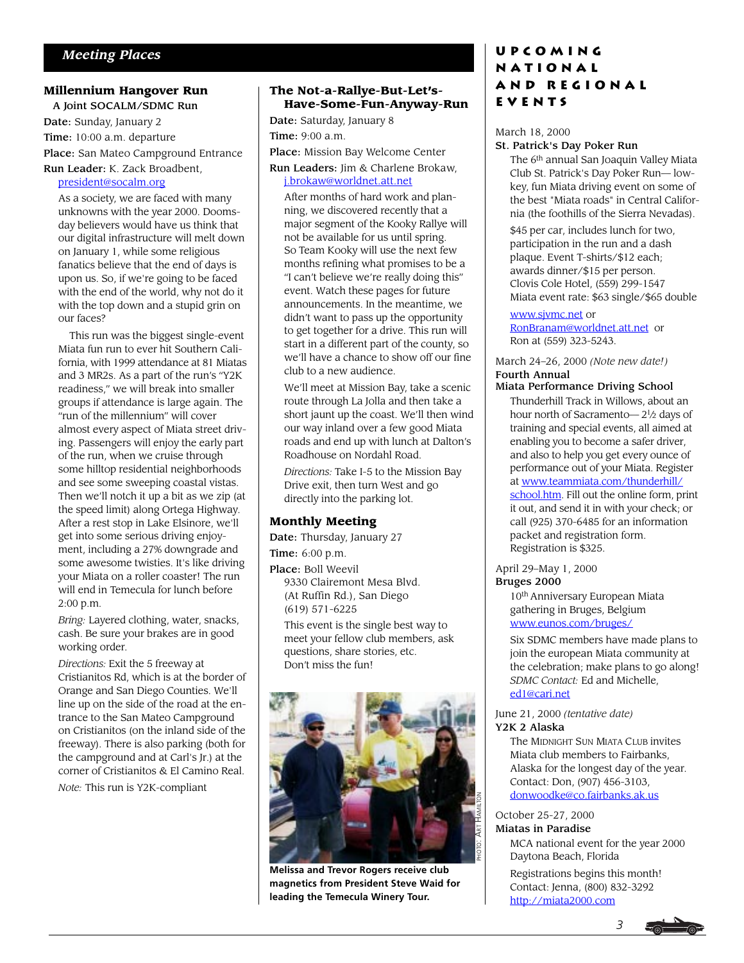#### **Millennium Hangover Run**

 A Joint SOCALM/SDMC Run Date: Sunday, January 2 Time: 10:00 a.m. departure Place: San Mateo Campground Entrance

Run Leader: K. Zack Broadbent,

#### [president@socalm.org](mailto:president@socalm.org)

As a society, we are faced with many unknowns with the year 2000. Doomsday believers would have us think that our digital infrastructure will melt down on January 1, while some religious fanatics believe that the end of days is upon us. So, if we're going to be faced with the end of the world, why not do it with the top down and a stupid grin on our faces?

 This run was the biggest single-event Miata fun run to ever hit Southern California, with 1999 attendance at 81 Miatas and 3 MR2s. As a part of the run's "Y2K readiness," we will break into smaller groups if attendance is large again. The "run of the millennium" will cover almost every aspect of Miata street driving. Passengers will enjoy the early part of the run, when we cruise through some hilltop residential neighborhoods and see some sweeping coastal vistas. Then we'll notch it up a bit as we zip (at the speed limit) along Ortega Highway. After a rest stop in Lake Elsinore, we'll get into some serious driving enjoyment, including a 27% downgrade and some awesome twisties. It's like driving your Miata on a roller coaster! The run will end in Temecula for lunch before 2:00 p.m.

*Bring:* Layered clothing, water, snacks, cash. Be sure your brakes are in good working order.

*Directions:* Exit the 5 freeway at Cristianitos Rd, which is at the border of Orange and San Diego Counties. We'll line up on the side of the road at the entrance to the San Mateo Campground on Cristianitos (on the inland side of the freeway). There is also parking (both for the campground and at Carl's Jr.) at the corner of Cristianitos & El Camino Real.

*Note:* This run is Y2K-compliant

#### **The Not-a-Rallye-But-Let's-Have-Some-Fun-Anyway-Run**

Date: Saturday, January 8 Time: 9:00 a.m.

Place: Mission Bay Welcome Center Run Leaders: Jim & Charlene Brokaw,

[j.brokaw@worldnet.att.net](mailto:jbrokaw@worldnet.add.net)

After months of hard work and planning, we discovered recently that a major segment of the Kooky Rallye will not be available for us until spring. So Team Kooky will use the next few months refining what promises to be a "I can't believe we're really doing this" event. Watch these pages for future announcements. In the meantime, we didn't want to pass up the opportunity to get together for a drive. This run will start in a different part of the county, so we'll have a chance to show off our fine club to a new audience.

We'll meet at Mission Bay, take a scenic route through La Jolla and then take a short jaunt up the coast. We'll then wind our way inland over a few good Miata roads and end up with lunch at Dalton's Roadhouse on Nordahl Road.

*Directions:* Take I-5 to the Mission Bay Drive exit, then turn West and go directly into the parking lot.

#### **Monthly Meeting**

Date: Thursday, January 27

Time: 6:00 p.m.

Place: Boll Weevil 9330 Clairemont Mesa Blvd. (At Ruffin Rd.), San Diego (619) 571-6225 This event is the single best way to

meet your fellow club members, ask questions, share stories, etc. Don't miss the fun!



**Melissa and Trevor Rogers receive club magnetics from President Steve Waid for leading the Temecula Winery Tour.**

#### **Upcoming National and Regional Events**

#### March 18, 2000

#### St. Patrick's Day Poker Run

The 6<sup>th</sup> annual San Joaquin Valley Miata Club St. Patrick's Day Poker Run— lowkey, fun Miata driving event on some of the best "Miata roads" in Central California (the foothills of the Sierra Nevadas).

\$45 per car, includes lunch for two, participation in the run and a dash plaque. Event T-shirts/\$12 each; awards dinner/\$15 per person. Clovis Cole Hotel, (559) 299-1547 Miata event rate: \$63 single/\$65 double

[www.sjvmc.net o](http://www.sjvmc.net)r [RonBranam@worldnet.att.net](mailto:RonBranam@worldnet.att.net) or Ron at (559) 323-5243.

March 24–26, 2000 *(Note new date!)* Fourth Annual

#### Miata Performance Driving School

Thunderhill Track in Willows, about an hour north of Sacramento— 21⁄2 days of training and special events, all aimed at enabling you to become a safer driver, and also to help you get every ounce of performance out of your Miata. Register at [www.teammiata.com/thunderhill/](http://www.teammiata.com/thunderhill/school.htm) [school.htm.](http://www.teammiata.com/thunderhill/school.htm) Fill out the online form, print it out, and send it in with your check; or call (925) 370-6485 for an information packet and registration form. Registration is \$325.

#### April 29–May 1, 2000 Bruges 2000

10<sup>th</sup> Anniversary European Miata gathering in Bruges, Belgium [www.eunos.com/bruges/](http://www.eunos.com/bruges/)

Six SDMC members have made plans to join the european Miata community at the celebration; make plans to go along! *SDMC Contact:* Ed and Michelle, [ed1@cari.net](mailto:ed1@cari.net)

June 21, 2000 *(tentative date)* Y2K 2 Alaska

> The MIDNIGHT SUN MIATA CLUB invites Miata club members to Fairbanks, Alaska for the longest day of the year. Contact: Don, (907) 456-3103, [donwoodke@co.fairbanks.ak.us](mailto:donwoodke@co.fairbanks.ak.us)

#### October 25-27, 2000 Miatas in Paradise

MCA national event for the year 2000 Daytona Beach, Florida

Registrations begins this month! Contact: Jenna, (800) 832-3292 <http://miata2000.com>

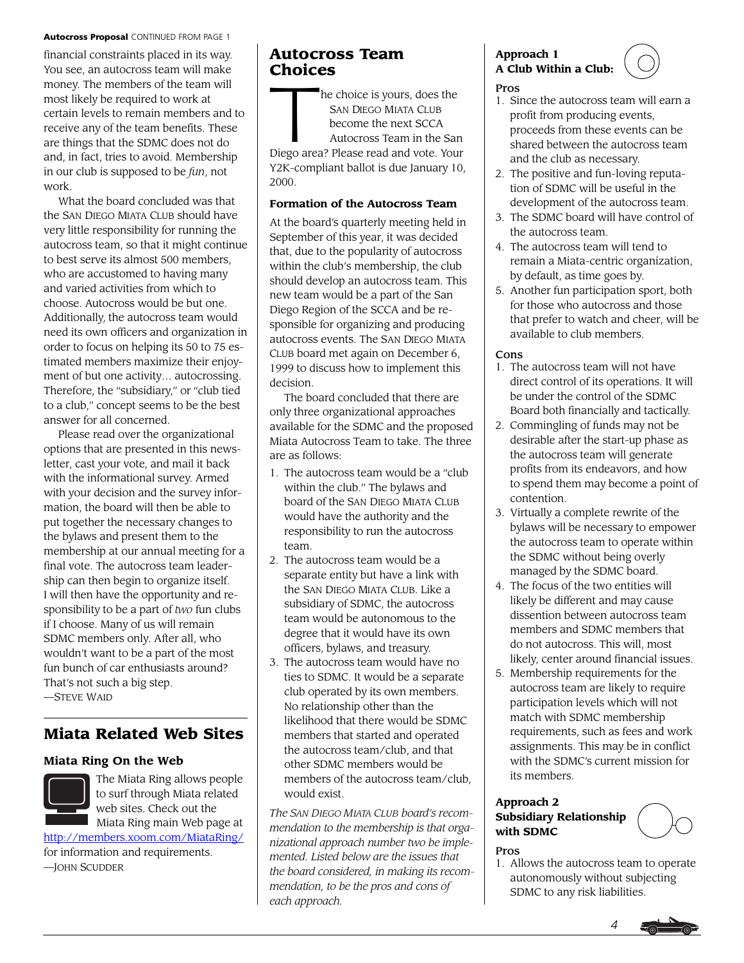#### Autocross Proposal CONTINUED FROM PAGE 1

financial constraints placed in its way. You see, an autocross team will make money. The members of the team will most likely be required to work at certain levels to remain members and to receive any of the team benefits. These are things that the SDMC does not do and, in fact, tries to avoid. Membership in our club is supposed to be *fun*, not work.

What the board concluded was that the SAN DIEGO MIATA CLUB should have very little responsibility for running the autocross team, so that it might continue to best serve its almost 500 members, who are accustomed to having many and varied activities from which to choose. Autocross would be but one. Additionally, the autocross team would need its own officers and organization in order to focus on helping its 50 to 75 estimated members maximize their enjoyment of but one activity… autocrossing. Therefore, the "subsidiary," or "club tied to a club," concept seems to be the best answer for all concerned.

Please read over the organizational options that are presented in this newsletter, cast your vote, and mail it back with the informational survey. Armed with your decision and the survey information, the board will then be able to put together the necessary changes to the bylaws and present them to the membership at our annual meeting for a final vote. The autocross team leadership can then begin to organize itself. I will then have the opportunity and responsibility to be a part of *two* fun clubs if I choose. Many of us will remain SDMC members only. After all, who wouldn't want to be a part of the most fun bunch of car enthusiasts around? That's not such a big step. —STEVE WAID

#### **Miata Related Web Sites**

#### **Miata Ring On the Web**



The Miata Ring allows people to surf through Miata related web sites. Check out the Miata Ring main Web page at

[http://members.xoom.com/MiataRing/](http://members.xoom.com/MiataRing) for information and requirements.

—JOHN SCUDDER

## **Autocross Team**

**Choices**<br>
The s<br>
B<br>
B<br>
A he choice is yours, does the SAN DIEGO MIATA CLUB become the next SCCA Autocross Team in the San Diego area? Please read and vote. Your Y2K-compliant ballot is due January 10, 2000.

#### **Formation of the Autocross Team**

At the board's quarterly meeting held in September of this year, it was decided that, due to the popularity of autocross within the club's membership, the club should develop an autocross team. This new team would be a part of the San Diego Region of the SCCA and be responsible for organizing and producing autocross events. The SAN DIEGO MIATA CLUB board met again on December 6, 1999 to discuss how to implement this decision.

The board concluded that there are only three organizational approaches available for the SDMC and the proposed Miata Autocross Team to take. The three are as follows:

- 1. The autocross team would be a "club within the club." The bylaws and board of the SAN DIEGO MIATA CLUB would have the authority and the responsibility to run the autocross team.
- 2. The autocross team would be a separate entity but have a link with the SAN DIEGO MIATA CLUB. Like a subsidiary of SDMC, the autocross team would be autonomous to the degree that it would have its own officers, bylaws, and treasury.
- 3. The autocross team would have no ties to SDMC. It would be a separate club operated by its own members. No relationship other than the likelihood that there would be SDMC members that started and operated the autocross team/club, and that other SDMC members would be members of the autocross team/club, would exist.

*The SAN DIEGO MIATA CLUB board's recommendation to the membership is that organizational approach number two be implemented. Listed below are the issues that the board considered, in making its recommendation, to be the pros and cons of each approach.*

#### **Approach 1 A Club Within a Club:**

Pros

- 1. Since the autocross team will earn a profit from producing events, proceeds from these events can be shared between the autocross team and the club as necessary.
- 2. The positive and fun-loving reputation of SDMC will be useful in the development of the autocross team.
- 3. The SDMC board will have control of the autocross team.
- 4. The autocross team will tend to remain a Miata-centric organization, by default, as time goes by.
- 5. Another fun participation sport, both for those who autocross and those that prefer to watch and cheer, will be available to club members.

#### Cons

- 1. The autocross team will not have direct control of its operations. It will be under the control of the SDMC Board both financially and tactically.
- 2. Commingling of funds may not be desirable after the start-up phase as the autocross team will generate profits from its endeavors, and how to spend them may become a point of contention.
- 3. Virtually a complete rewrite of the bylaws will be necessary to empower the autocross team to operate within the SDMC without being overly managed by the SDMC board.
- 4. The focus of the two entities will likely be different and may cause dissention between autocross team members and SDMC members that do not autocross. This will, most likely, center around financial issues.
- 5. Membership requirements for the autocross team are likely to require participation levels which will not match with SDMC membership requirements, such as fees and work assignments. This may be in conflict with the SDMC's current mission for its members.

#### **Approach 2 Subsidiary Relationship with SDMC**

#### Pros

1. Allows the autocross team to operate autonomously without subjecting SDMC to any risk liabilities.

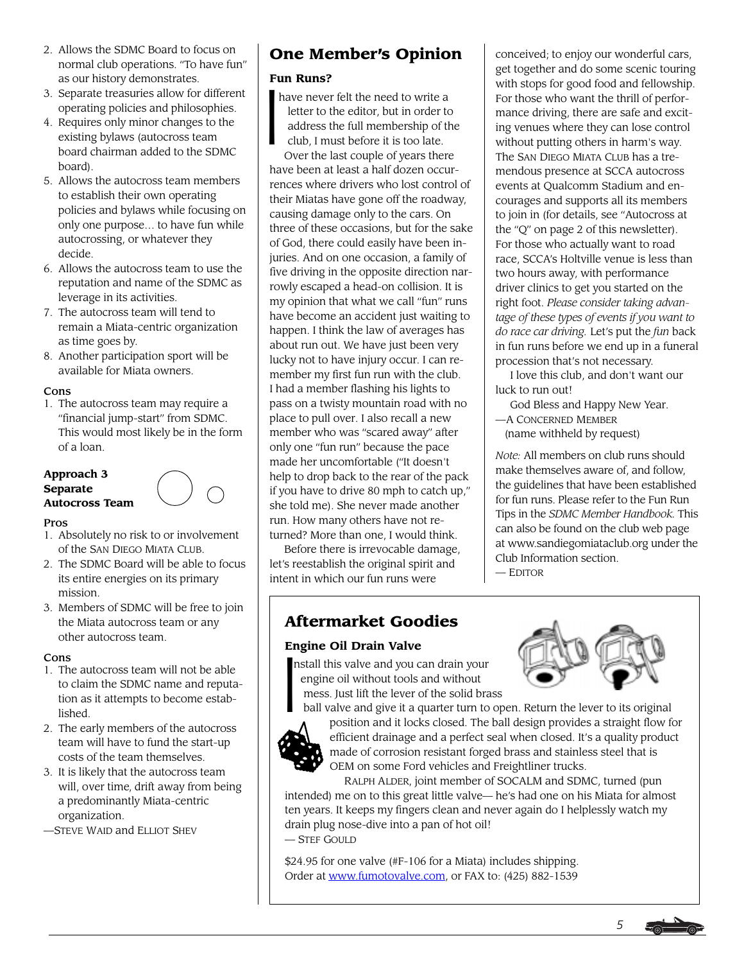- 2. Allows the SDMC Board to focus on normal club operations. "To have fun" as our history demonstrates.
- 3. Separate treasuries allow for different operating policies and philosophies.
- 4. Requires only minor changes to the existing bylaws (autocross team board chairman added to the SDMC board).
- 5. Allows the autocross team members to establish their own operating policies and bylaws while focusing on only one purpose… to have fun while autocrossing, or whatever they decide.
- 6. Allows the autocross team to use the reputation and name of the SDMC as leverage in its activities.
- 7. The autocross team will tend to remain a Miata-centric organization as time goes by.
- 8. Another participation sport will be available for Miata owners.

#### Cons

1. The autocross team may require a "financial jump-start" from SDMC. This would most likely be in the form of a loan.

#### **Approach 3 Separate Autocross Team**



#### Pros

- 1. Absolutely no risk to or involvement of the SAN DIEGO MIATA CLUB.
- 2. The SDMC Board will be able to focus its entire energies on its primary mission.
- 3. Members of SDMC will be free to join the Miata autocross team or any other autocross team.

#### Cons

- 1. The autocross team will not be able to claim the SDMC name and reputation as it attempts to become established.
- 2. The early members of the autocross team will have to fund the start-up costs of the team themselves.
- 3. It is likely that the autocross team will, over time, drift away from being a predominantly Miata-centric organization.
- —STEVE WAID and ELLIOT SHEV

### **One Member's Opinion**

#### **Fun Runs?**

 $\begin{bmatrix} \mathbf{F} \mathbf{u} \\ \mathbf{h} \end{bmatrix}$ have never felt the need to write a letter to the editor, but in order to address the full membership of the club, I must before it is too late. Over the last couple of years there have been at least a half dozen occurrences where drivers who lost control of their Miatas have gone off the roadway, causing damage only to the cars. On three of these occasions, but for the sake of God, there could easily have been injuries. And on one occasion, a family of five driving in the opposite direction narrowly escaped a head-on collision. It is my opinion that what we call "fun" runs have become an accident just waiting to happen. I think the law of averages has about run out. We have just been very lucky not to have injury occur. I can remember my first fun run with the club. I had a member flashing his lights to pass on a twisty mountain road with no place to pull over. I also recall a new member who was "scared away" after only one "fun run" because the pace made her uncomfortable ("It doesn't help to drop back to the rear of the pack if you have to drive 80 mph to catch up," she told me). She never made another run. How many others have not returned? More than one, I would think.

Before there is irrevocable damage, let's reestablish the original spirit and intent in which our fun runs were

### **Aftermarket Goodies**

# **Engine Oil Drain Valve**<br> **I**nstall this valve and you congine oil without tools<br>
mess. Just lift the lever conditional valve and give it a condition





 ball valve and give it a quarter turn to open. Return the lever to its original position and it locks closed. The ball design provides a straight flow for efficient drainage and a perfect seal when closed. It's a quality product made of corrosion resistant forged brass and stainless steel that is OEM on some Ford vehicles and Freightliner trucks.

RALPH ALDER, joint member of SOCALM and SDMC, turned (pun intended) me on to this great little valve— he's had one on his Miata for almost ten years. It keeps my fingers clean and never again do I helplessly watch my drain plug nose-dive into a pan of hot oil! — STEF GOULD

\$24.95 for one valve (#F-106 for a Miata) includes shipping. Order at [www.fumotovalve.com,](http://www.fumotovalve.com) or FAX to: (425) 882-1539

conceived; to enjoy our wonderful cars, get together and do some scenic touring with stops for good food and fellowship. For those who want the thrill of performance driving, there are safe and exciting venues where they can lose control without putting others in harm's way. The SAN DIEGO MIATA CLUB has a tremendous presence at SCCA autocross events at Qualcomm Stadium and encourages and supports all its members to join in (for details, see "Autocross at the "Q" on page 2 of this newsletter). For those who actually want to road race, SCCA's Holtville venue is less than two hours away, with performance driver clinics to get you started on the right foot. *Please consider taking advantage of these types of events if you want to do race car driving.* Let's put the *fun* back in fun runs before we end up in a funeral procession that's not necessary.

I love this club, and don't want our luck to run out!

- God Bless and Happy New Year. —A CONCERNED MEMBER
- (name withheld by request)

*Note:* All members on club runs should make themselves aware of, and follow, the guidelines that have been established for fun runs. Please refer to the Fun Run Tips in the *SDMC Member Handbook.* This can also be found on the club web page at www.sandiegomiataclub.org under the Club Information section.

— EDITOR



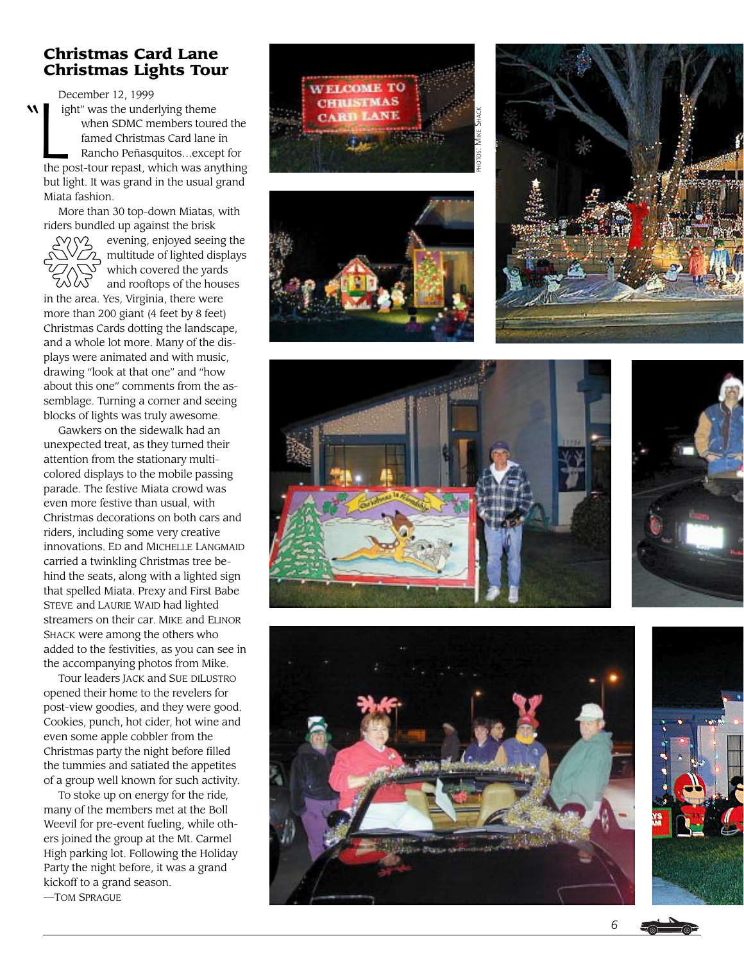#### **Christmas Card Lane Christmas Lights Tour**

"  $\begin{array}{c} \n\text{De} \\
\hline\n\text{I} \\
\text{I} \\
\text{I} \\
\text{I} \\
\text{I} \\
\text{I} \\
\text{I} \\
\text{I} \\
\text{I} \\
\text{I} \\
\text{I} \\
\text{I} \\
\text{I} \\
\text{I} \\
\text{I} \\
\text{I} \\
\text{I} \\
\text{I} \\
\text{I} \\
\text{I} \\
\text{I} \\
\text{I} \\
\text{I} \\
\text{I} \\
\text{I} \\
\text{I} \\
\text{I} \\
\text{I} \\
\text{I} \\
\text{I} \\
\text{I} \\
\text{I} \\
\text{I} \\
\text{$ December 12, 1999 ight" was the underlying theme when SDMC members toured the famed Christmas Card lane in Rancho Peñasquitos…except for the post-tour repast, which was anything but light. It was grand in the usual grand Miata fashion.

More than 30 top-down Miatas, with riders bundled up against the brisk



evening, enjoyed seeing the 2 multitude of lighted displays which covered the yards and rooftops of the houses

in the area. Yes, Virginia, there were more than 200 giant (4 feet by 8 feet) Christmas Cards dotting the landscape, and a whole lot more. Many of the displays were animated and with music, drawing "look at that one" and "how about this one" comments from the assemblage. Turning a corner and seeing blocks of lights was truly awesome.

Gawkers on the sidewalk had an unexpected treat, as they turned their attention from the stationary multicolored displays to the mobile passing parade. The festive Miata crowd was even more festive than usual, with Christmas decorations on both cars and riders, including some very creative innovations. E D and MICHELLE LANGMAID carried a twinkling Christmas tree behind the seats, along with a lighted sign that spelled Miata. Prexy and First Babe STEVE and LAURIE WAID had lighted streamers on their car. MIKE and ELINOR SHACK were among the others who added to the festivities, as you can see in the accompanying photos from Mike.

Tour leaders JACK and SUE DI LUSTRO opened their home to the revelers for post-view goodies, and they were good. Cookies, punch, hot cider, hot wine and even some apple cobbler from the Christmas party the night before filled the tummies and satiated the appetites of a group well known for such activity.

To stoke up on energy for the ride, many of the members met at the Boll Weevil for pre-event fueling, while others joined the group at the Mt. Carmel High parking lot. Following the Holiday Party the night before, it was a grand kickoff to a grand season. —TOM SPRAGUE













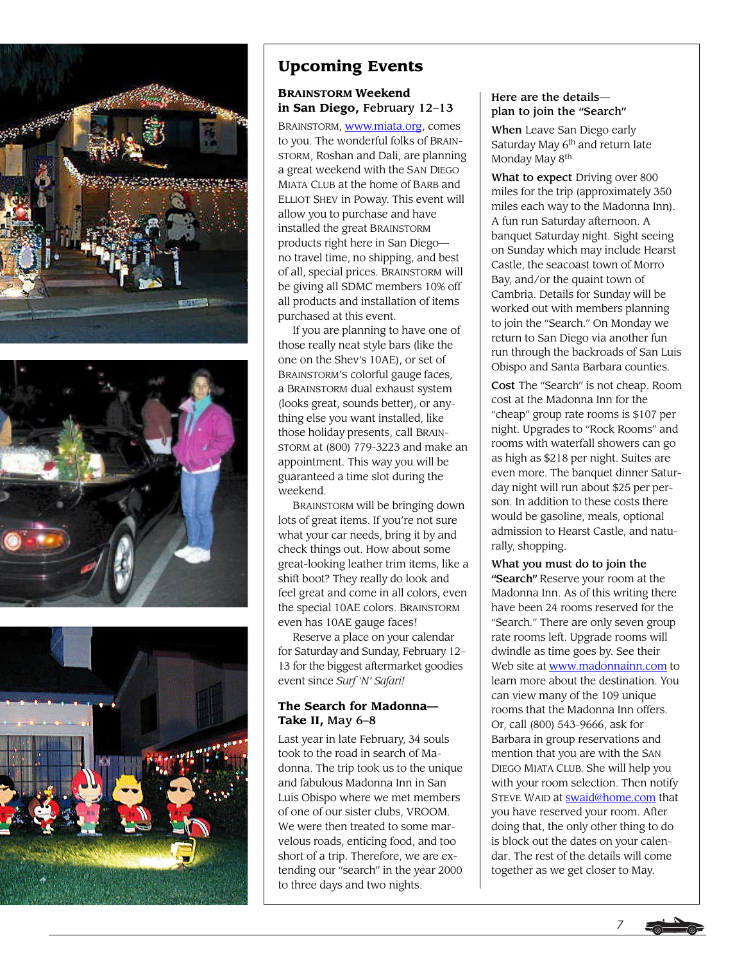





#### **Upcoming Events**

#### **BRAINSTORM Weekend in San Diego,** February 12–13

BRAINSTORM, [www.miata.org,](http://www.miata.org) comes to you. The wonderful folks of BRAIN-STORM, Roshan and Dali, are planning a great weekend with the SAN DIEGO MIATA CLUB at the home of BARB and ELLIOT SHEV in Poway. This event will allow you to purchase and have installed the great BRAINSTORM products right here in San Diego no travel time, no shipping, and best of all, special prices. BRAINSTORM will be giving all SDMC members 10% off all products and installation of items purchased at this event.

If you are planning to have one of those really neat style bars (like the one on the Shev's 10AE), or set of BRAINSTORM'S colorful gauge faces, a BRAINSTORM dual exhaust system (looks great, sounds better), or anything else you want installed, like those holiday presents, call BRAIN-STORM at (800) 779-3223 and make an appointment. This way you will be guaranteed a time slot during the weekend.

BRAINSTORM will be bringing down lots of great items. If you're not sure what your car needs, bring it by and check things out. How about some great-looking leather trim items, like a shift boot? They really do look and feel great and come in all colors, even the special 10AE colors. BRAINSTORM even has 10AE gauge faces!

Reserve a place on your calendar for Saturday and Sunday, February 12– 13 for the biggest aftermarket goodies event since *Surf 'N' Safari!*

#### **The Search for Madonna— Take II,** May 6–8

Last year in late February, 34 souls took to the road in search of Madonna. The trip took us to the unique and fabulous Madonna Inn in San Luis Obispo where we met members of one of our sister clubs, VROOM. We were then treated to some marvelous roads, enticing food, and too short of a trip. Therefore, we are extending our "search" in the year 2000 to three days and two nights.

#### Here are the details plan to join the "Search"

When Leave San Diego early Saturday May  $6<sup>th</sup>$  and return late Monday May 8<sup>th.</sup>

What to expect Driving over 800 miles for the trip (approximately 350 miles each way to the Madonna Inn). A fun run Saturday afternoon. A banquet Saturday night. Sight seeing on Sunday which may include Hearst Castle, the seacoast town of Morro Bay, and/or the quaint town of Cambria. Details for Sunday will be worked out with members planning to join the "Search." On Monday we return to San Diego via another fun run through the backroads of San Luis Obispo and Santa Barbara counties.

Cost The "Search" is not cheap. Room cost at the Madonna Inn for the "cheap" group rate rooms is \$107 per night. Upgrades to "Rock Rooms" and rooms with waterfall showers can go as high as \$218 per night. Suites are even more. The banquet dinner Saturday night will run about \$25 per person. In addition to these costs there would be gasoline, meals, optional admission to Hearst Castle, and naturally, shopping.

What you must do to join the "Search" Reserve your room at the Madonna Inn. As of this writing there have been 24 rooms reserved for the "Search." There are only seven group rate rooms left. Upgrade rooms will dwindle as time goes by. See their Web site at [www.madonnainn.com t](http://www.madonnainn.com)o learn more about the destination. You can view many of the 109 unique rooms that the Madonna Inn offers. Or, call (800) 543-9666, ask for Barbara in group reservations and mention that you are with the SAN DIEGO MIATA CLUB. She will help you with your room selection. Then notify STEVE WAID at **swaid@home.com** that you have reserved your room. After doing that, the only other thing to do is block out the dates on your calendar. The rest of the details will come together as we get closer to May.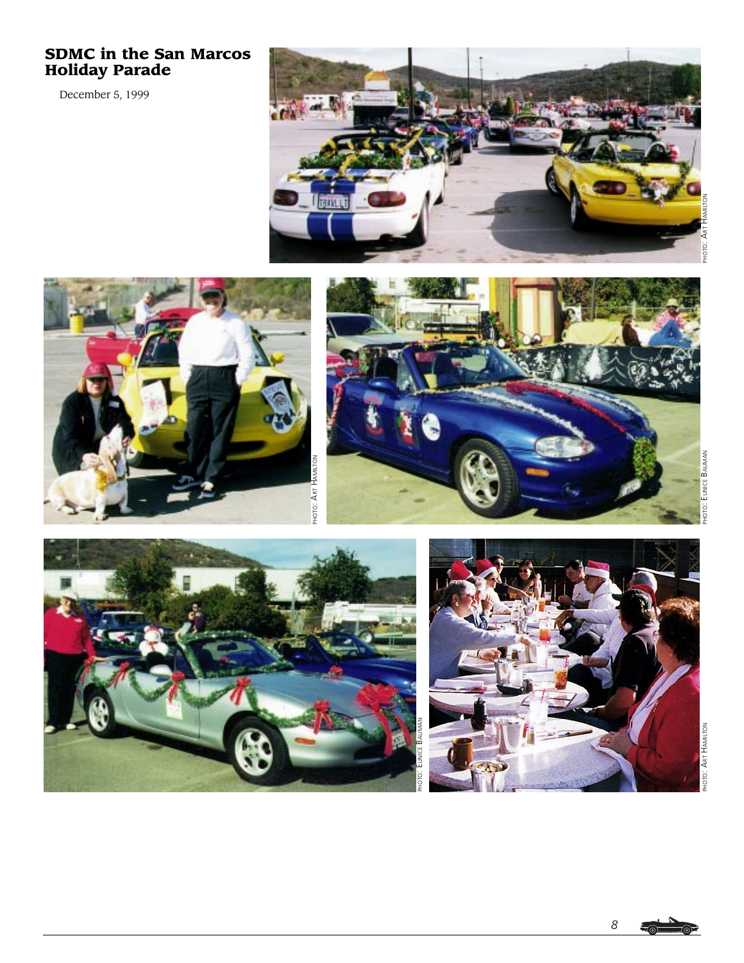#### **SDMC in the San Marcos Holiday Parade**

December 5, 1999











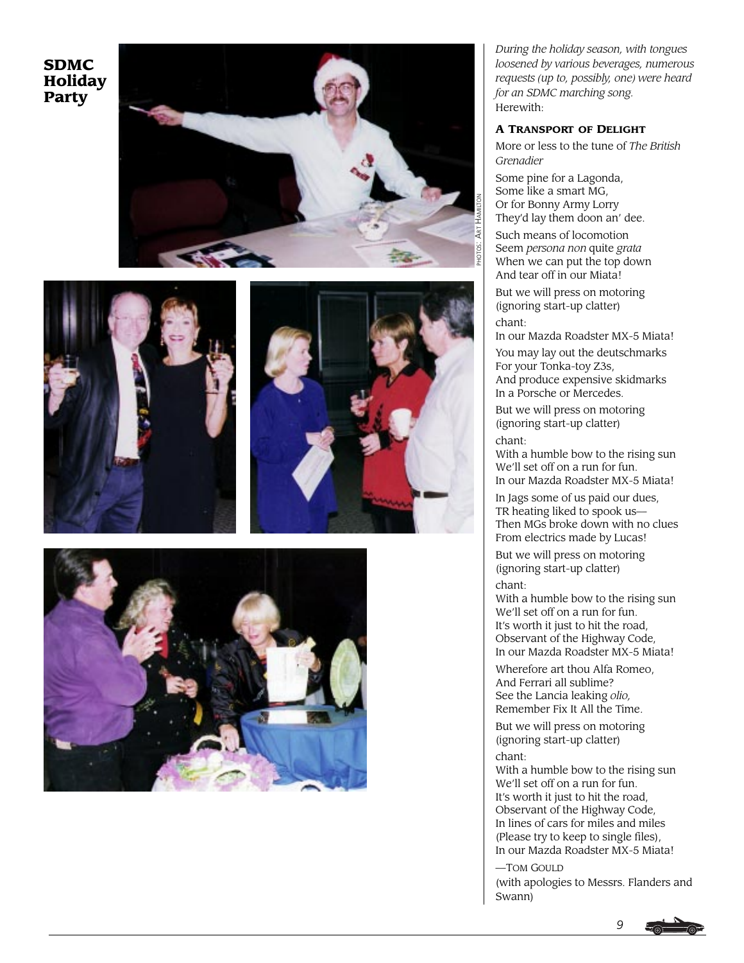**SDMC Holiday Party**









*During the holiday season, with tongues loosened by various beverages, numerous requests (up to, possibly, one) were heard for an SDMC marching song.* Herewith:

#### **A TRANSPORT OF DELIGHT**

More or less to the tune of *The British Grenadier*

Some pine for a Lagonda, Some like a smart MG, Or for Bonny Army Lorry They'd lay them doon an' dee.

Such means of locomotion Seem *persona non* quite *grata* When we can put the top down And tear off in our Miata!

But we will press on motoring (ignoring start-up clatter) chant:

In our Mazda Roadster MX-5 Miata!

You may lay out the deutschmarks For your Tonka-toy Z3s, And produce expensive skidmarks In a Porsche or Mercedes.

But we will press on motoring (ignoring start-up clatter) chant:

With a humble bow to the rising sun We'll set off on a run for fun. In our Mazda Roadster MX-5 Miata!

In Jags some of us paid our dues, TR heating liked to spook us— Then MGs broke down with no clues From electrics made by Lucas!

But we will press on motoring (ignoring start-up clatter) chant:

With a humble bow to the rising sun We'll set off on a run for fun. It's worth it just to hit the road, Observant of the Highway Code, In our Mazda Roadster MX-5 Miata!

Wherefore art thou Alfa Romeo, And Ferrari all sublime? See the Lancia leaking *olio,* Remember Fix It All the Time.

But we will press on motoring (ignoring start-up clatter) chant:

With a humble bow to the rising sun We'll set off on a run for fun. It's worth it just to hit the road, Observant of the Highway Code, In lines of cars for miles and miles (Please try to keep to single files), In our Mazda Roadster MX-5 Miata!

—TOM GOULD

(with apologies to Messrs. Flanders and Swann)



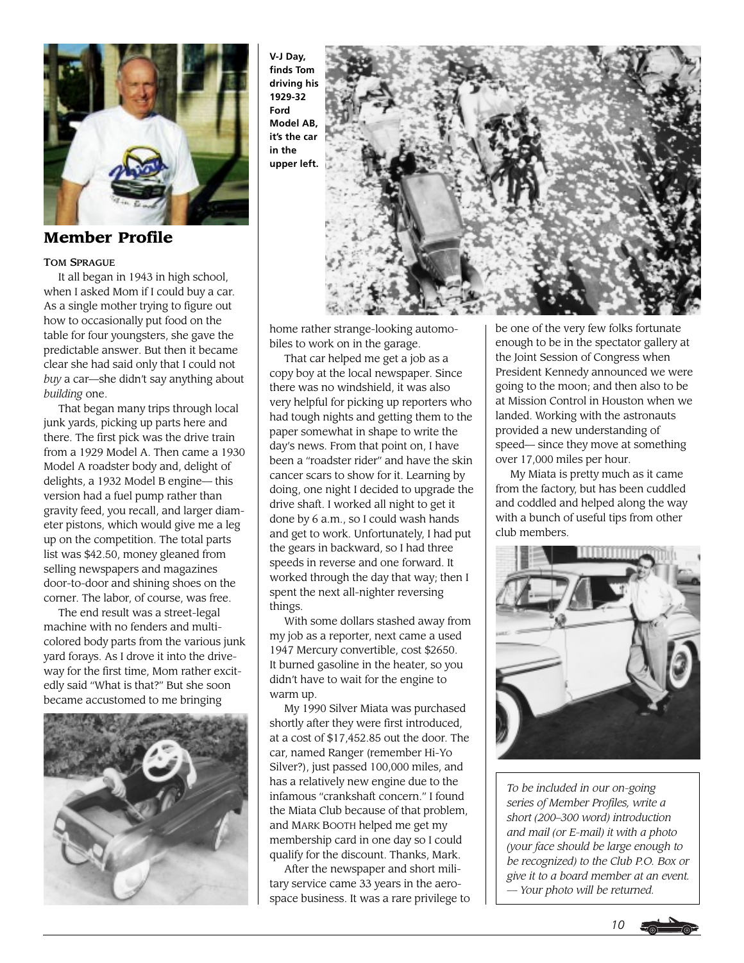

**Member Profile**

#### TOM SPRAGUE

It all began in 1943 in high school, when I asked Mom if I could buy a car. As a single mother trying to figure out how to occasionally put food on the table for four youngsters, she gave the predictable answer. But then it became clear she had said only that I could not *buy* a car—she didn't say anything about *building* one.

That began many trips through local junk yards, picking up parts here and there. The first pick was the drive train from a 1929 Model A. Then came a 1930 Model A roadster body and, delight of delights, a 1932 Model B engine— this version had a fuel pump rather than gravity feed, you recall, and larger diameter pistons, which would give me a leg up on the competition. The total parts list was \$42.50, money gleaned from selling newspapers and magazines door-to-door and shining shoes on the corner. The labor, of course, was free.

The end result was a street-legal machine with no fenders and multicolored body parts from the various junk yard forays. As I drove it into the driveway for the first time, Mom rather excitedly said "What is that?" But she soon became accustomed to me bringing



**V-J Day, finds Tom driving his 1929-32 Ford Model AB, it's the car in the upper left.**



home rather strange-looking automobiles to work on in the garage.

That car helped me get a job as a copy boy at the local newspaper. Since there was no windshield, it was also very helpful for picking up reporters who had tough nights and getting them to the paper somewhat in shape to write the day's news. From that point on, I have been a "roadster rider" and have the skin cancer scars to show for it. Learning by doing, one night I decided to upgrade the drive shaft. I worked all night to get it done by 6 a.m., so I could wash hands and get to work. Unfortunately, I had put the gears in backward, so I had three speeds in reverse and one forward. It worked through the day that way; then I spent the next all-nighter reversing things.

With some dollars stashed away from my job as a reporter, next came a used 1947 Mercury convertible, cost \$2650. It burned gasoline in the heater, so you didn't have to wait for the engine to warm up.

My 1990 Silver Miata was purchased shortly after they were first introduced, at a cost of \$17,452.85 out the door. The car, named Ranger (remember Hi-Yo Silver?), just passed 100,000 miles, and has a relatively new engine due to the infamous "crankshaft concern." I found the Miata Club because of that problem, and MARK BOOTH helped me get my membership card in one day so I could qualify for the discount. Thanks, Mark.

After the newspaper and short military service came 33 years in the aerospace business. It was a rare privilege to be one of the very few folks fortunate enough to be in the spectator gallery at the Joint Session of Congress when President Kennedy announced we were going to the moon; and then also to be at Mission Control in Houston when we landed. Working with the astronauts provided a new understanding of speed— since they move at something over 17,000 miles per hour.

My Miata is pretty much as it came from the factory, but has been cuddled and coddled and helped along the way with a bunch of useful tips from other club members.



*To be included in our on-going series of Member Profiles, write a short (200–300 word) introduction and mail (or E-mail) it with a photo (your face should be large enough to be recognized) to the Club P.O. Box or give it to a board member at an event. — Your photo will be returned.*